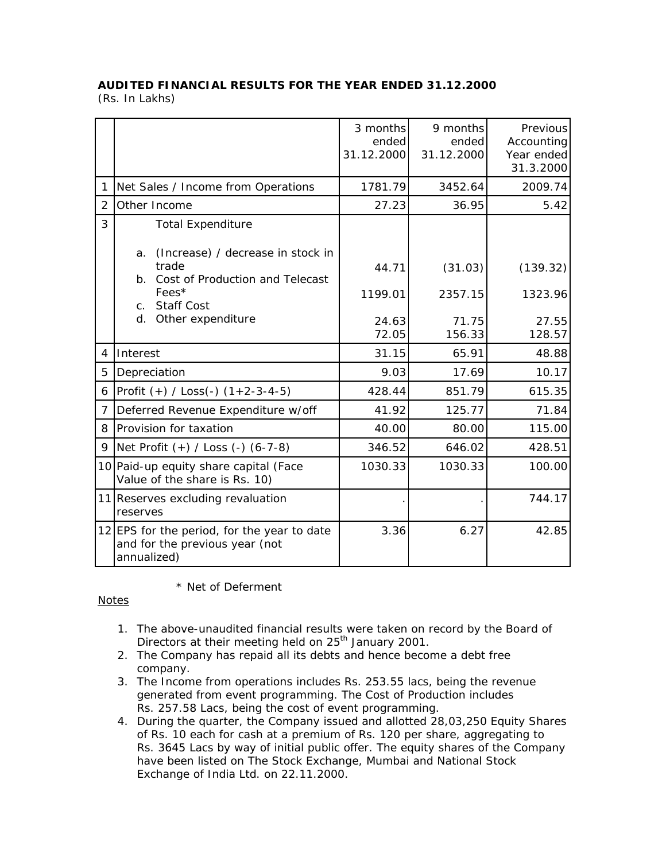## **AUDITED FINANCIAL RESULTS FOR THE YEAR ENDED 31.12.2000**

(Rs. In Lakhs)

|                |                                                                                              | 3 months<br>ended<br>31.12.2000 | 9 months<br>ended<br>31.12.2000 | Previous<br>Accounting<br>Year ended<br>31.3.2000 |
|----------------|----------------------------------------------------------------------------------------------|---------------------------------|---------------------------------|---------------------------------------------------|
| 1              | Net Sales / Income from Operations                                                           | 1781.79                         | 3452.64                         | 2009.74                                           |
| $\overline{2}$ | Other Income                                                                                 | 27.23                           | 36.95                           | 5.42                                              |
| 3              | <b>Total Expenditure</b>                                                                     |                                 |                                 |                                                   |
|                | (Increase) / decrease in stock in<br>a.<br>trade<br>Cost of Production and Telecast<br>b.    | 44.71                           | (31.03)                         | (139.32)                                          |
|                | Fees*<br><b>Staff Cost</b><br>C <sub>1</sub>                                                 | 1199.01                         | 2357.15                         | 1323.96                                           |
|                | d.<br>Other expenditure                                                                      | 24.63<br>72.05                  | 71.75<br>156.33                 | 27.55<br>128.57                                   |
| 4              | Interest                                                                                     | 31.15                           | 65.91                           | 48.88                                             |
| 5              | Depreciation                                                                                 | 9.03                            | 17.69                           | 10.17                                             |
| 6              | Profit $(+)$ / Loss(-) $(1+2-3-4-5)$                                                         | 428.44                          | 851.79                          | 615.35                                            |
| 7              | Deferred Revenue Expenditure w/off                                                           | 41.92                           | 125.77                          | 71.84                                             |
| 8              | Provision for taxation                                                                       | 40.00                           | 80.00                           | 115.00                                            |
| 9              | Net Profit (+) / Loss (-) (6-7-8)                                                            | 346.52                          | 646.02                          | 428.51                                            |
|                | 10 Paid-up equity share capital (Face<br>Value of the share is Rs. 10)                       | 1030.33                         | 1030.33                         | 100.00                                            |
|                | 11 Reserves excluding revaluation<br>reserves                                                |                                 |                                 | 744.17                                            |
|                | 12 EPS for the period, for the year to date<br>and for the previous year (not<br>annualized) | 3.36                            | 6.27                            | 42.85                                             |

\* Net of Deferment

## Notes

- 1. The above-unaudited financial results were taken on record by the Board of Directors at their meeting held on 25<sup>th</sup> January 2001.
- 2. The Company has repaid all its debts and hence become a debt free company.
- 3. The Income from operations includes Rs. 253.55 lacs, being the revenue generated from event programming. The Cost of Production includes Rs. 257.58 Lacs, being the cost of event programming.
- 4. During the quarter, the Company issued and allotted 28,03,250 Equity Shares of Rs. 10 each for cash at a premium of Rs. 120 per share, aggregating to Rs. 3645 Lacs by way of initial public offer. The equity shares of the Company have been listed on The Stock Exchange, Mumbai and National Stock Exchange of India Ltd. on 22.11.2000.